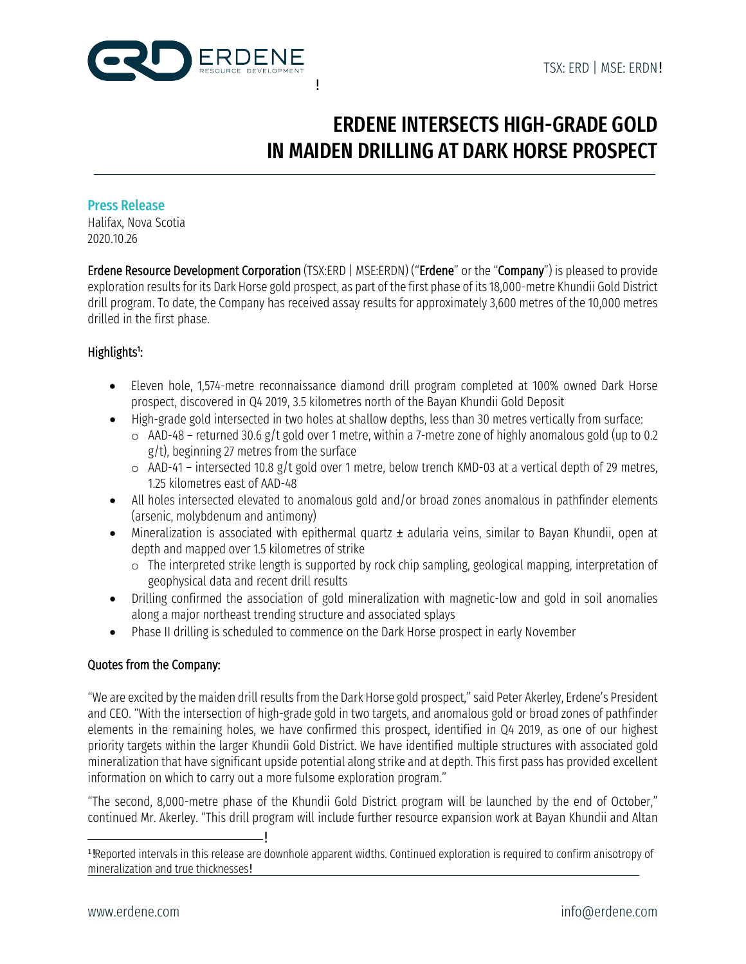

## ERDENE INTERSECTS HIGH-GRADE GOLD IN MAIDEN DRILLING AT DARK HORSE PROSPECT

#### Press Release

Halifax, Nova Scotia 2020.10.26

Erdene Resource Development Corporation (TSX:ERD | MSE:ERDN) ("Erdene" or the "Company") is pleased to provide exploration results for its Dark Horse gold prospect, as part of the first phase of its 18,000-metre Khundii Gold District drill program. To date, the Company has received assay results for approximately 3,600 metres of the 10,000 metres drilled in the first phase.

## Highlights<sup>1</sup>:

- Eleven hole, 1,574-metre reconnaissance diamond drill program completed at 100% owned Dark Horse prospect, discovered in Q4 2019, 3.5 kilometres north of the Bayan Khundii Gold Deposit
- High-grade gold intersected in two holes at shallow depths, less than 30 metres vertically from surface:
	- o AAD-48 returned 30.6 g/t gold over 1 metre, within a 7-metre zone of highly anomalous gold (up to 0.2 g/t), beginning 27 metres from the surface
	- o AAD-41 intersected 10.8 g/t gold over 1 metre, below trench KMD-03 at a vertical depth of 29 metres, 1.25 kilometres east of AAD-48
- All holes intersected elevated to anomalous gold and/or broad zones anomalous in pathfinder elements (arsenic, molybdenum and antimony)
- Mineralization is associated with epithermal quartz ± adularia veins, similar to Bayan Khundii, open at depth and mapped over 1.5 kilometres of strike
	- o The interpreted strike length is supported by rock chip sampling, geological mapping, interpretation of geophysical data and recent drill results
- Drilling confirmed the association of gold mineralization with magnetic-low and gold in soil anomalies along a major northeast trending structure and associated splays
- Phase II drilling is scheduled to commence on the Dark Horse prospect in early November

## Quotes from the Company:

"We are excited by the maiden drill results from the Dark Horse gold prospect," said Peter Akerley, Erdene's President and CEO. "With the intersection of high-grade gold in two targets, and anomalous gold or broad zones of pathfinder elements in the remaining holes, we have confirmed this prospect, identified in Q4 2019, as one of our highest priority targets within the larger Khundii Gold District. We have identified multiple structures with associated gold mineralization that have significant upside potential along strike and at depth. This first pass has provided excellent information on which to carry out a more fulsome exploration program."

"The second, 8,000-metre phase of the Khundii Gold District program will be launched by the end of October," continued Mr. Akerley. "This drill program will include further resource expansion work at Bayan Khundii and Altan

ļ

<sup>&</sup>lt;sup>1</sup>!Reported intervals in this release are downhole apparent widths. Continued exploration is required to confirm anisotropy of mineralization and true thicknesses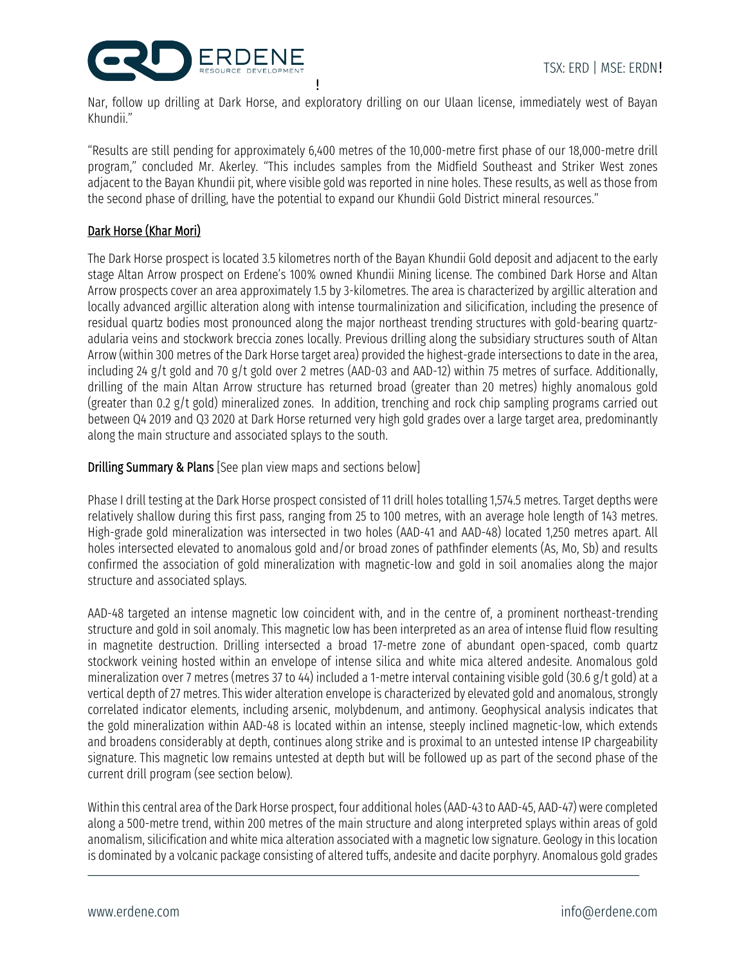

Nar, follow up drilling at Dark Horse, and exploratory drilling on our Ulaan license, immediately west of Bayan Khundii."

"Results are still pending for approximately 6,400 metres of the 10,000-metre first phase of our 18,000-metre drill program," concluded Mr. Akerley. "This includes samples from the Midfield Southeast and Striker West zones adjacent to the Bayan Khundii pit, where visible gold was reported in nine holes. These results, as well as those from the second phase of drilling, have the potential to expand our Khundii Gold District mineral resources."

#### Dark Horse (Khar Mori)

The Dark Horse prospect is located 3.5 kilometres north of the Bayan Khundii Gold deposit and adjacent to the early stage Altan Arrow prospect on Erdene's 100% owned Khundii Mining license. The combined Dark Horse and Altan Arrow prospects cover an area approximately 1.5 by 3-kilometres. The area is characterized by argillic alteration and locally advanced argillic alteration along with intense tourmalinization and silicification, including the presence of residual quartz bodies most pronounced along the major northeast trending structures with gold-bearing quartzadularia veins and stockwork breccia zones locally. Previous drilling along the subsidiary structures south of Altan Arrow (within 300 metres of the Dark Horse target area) provided the highest-grade intersections to date in the area, including 24 g/t gold and 70 g/t gold over 2 metres (AAD-03 and AAD-12) within 75 metres of surface. Additionally, drilling of the main Altan Arrow structure has returned broad (greater than 20 metres) highly anomalous gold (greater than 0.2 g/t gold) mineralized zones. In addition, trenching and rock chip sampling programs carried out between Q4 2019 and Q3 2020 at Dark Horse returned very high gold grades over a large target area, predominantly along the main structure and associated splays to the south.

Drilling Summary & Plans [See plan view maps and sections below]

Phase I drill testing at the Dark Horse prospect consisted of 11 drill holes totalling 1,574.5 metres. Target depths were relatively shallow during this first pass, ranging from 25 to 100 metres, with an average hole length of 143 metres. High-grade gold mineralization was intersected in two holes (AAD-41 and AAD-48) located 1,250 metres apart. All holes intersected elevated to anomalous gold and/or broad zones of pathfinder elements (As, Mo, Sb) and results confirmed the association of gold mineralization with magnetic-low and gold in soil anomalies along the major structure and associated splays.

AAD-48 targeted an intense magnetic low coincident with, and in the centre of, a prominent northeast-trending structure and gold in soil anomaly. This magnetic low has been interpreted as an area of intense fluid flow resulting in magnetite destruction. Drilling intersected a broad 17-metre zone of abundant open-spaced, comb quartz stockwork veining hosted within an envelope of intense silica and white mica altered andesite. Anomalous gold mineralization over 7 metres (metres 37 to 44) included a 1-metre interval containing visible gold (30.6 g/t gold) at a vertical depth of 27 metres. This wider alteration envelope is characterized by elevated gold and anomalous, strongly correlated indicator elements, including arsenic, molybdenum, and antimony. Geophysical analysis indicates that the gold mineralization within AAD-48 is located within an intense, steeply inclined magnetic-low, which extends and broadens considerably at depth, continues along strike and is proximal to an untested intense IP chargeability signature. This magnetic low remains untested at depth but will be followed up as part of the second phase of the current drill program (see section below).

Within this central area of the Dark Horse prospect, four additional holes (AAD-43 to AAD-45, AAD-47) were completed along a 500-metre trend, within 200 metres of the main structure and along interpreted splays within areas of gold anomalism, silicification and white mica alteration associated with a magnetic low signature. Geology in this location is dominated by a volcanic package consisting of altered tuffs, andesite and dacite porphyry. Anomalous gold grades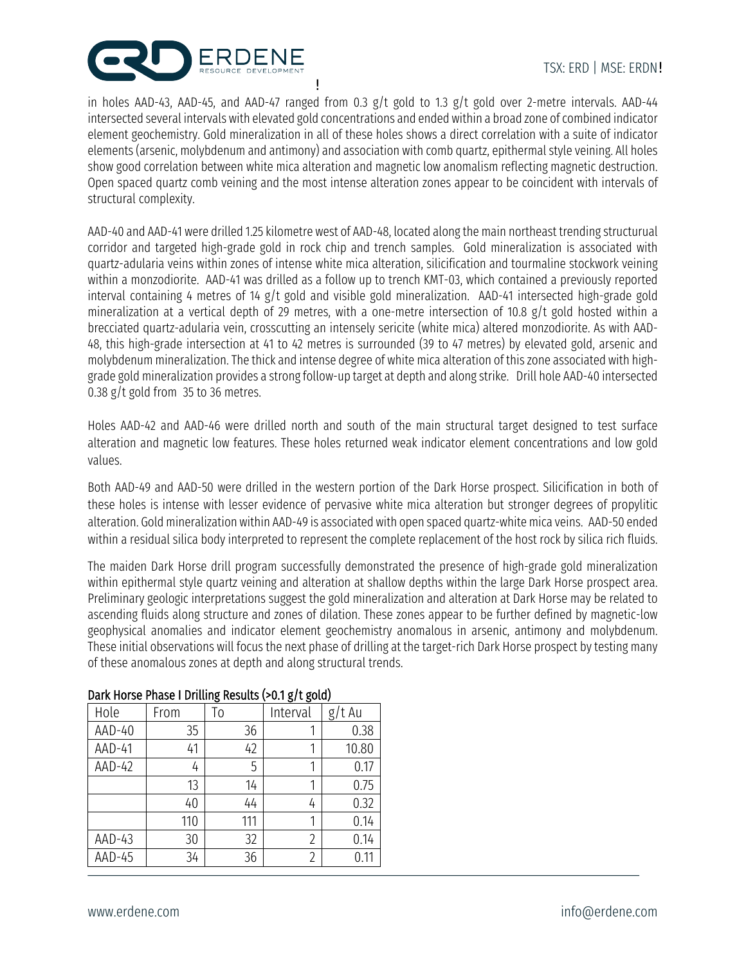

in holes AAD-43, AAD-45, and AAD-47 ranged from 0.3 g/t gold to 1.3 g/t gold over 2-metre intervals. AAD-44 intersected several intervals with elevated gold concentrations and ended within a broad zone of combined indicator element geochemistry. Gold mineralization in all of these holes shows a direct correlation with a suite of indicator elements(arsenic, molybdenum and antimony) and association with comb quartz, epithermal style veining. All holes show good correlation between white mica alteration and magnetic low anomalism reflecting magnetic destruction. Open spaced quartz comb veining and the most intense alteration zones appear to be coincident with intervals of structural complexity.

AAD-40 and AAD-41 were drilled 1.25 kilometre west of AAD-48, located along the main northeast trending structurual corridor and targeted high-grade gold in rock chip and trench samples. Gold mineralization is associated with quartz-adularia veins within zones of intense white mica alteration, silicification and tourmaline stockwork veining within a monzodiorite. AAD-41 was drilled as a follow up to trench KMT-03, which contained a previously reported interval containing 4 metres of 14 g/t gold and visible gold mineralization. AAD-41 intersected high-grade gold mineralization at a vertical depth of 29 metres, with a one-metre intersection of 10.8 g/t gold hosted within a brecciated quartz-adularia vein, crosscutting an intensely sericite (white mica) altered monzodiorite. As with AAD-48, this high-grade intersection at 41 to 42 metres is surrounded (39 to 47 metres) by elevated gold, arsenic and molybdenum mineralization. The thick and intense degree of white mica alteration of this zone associated with highgrade gold mineralization provides a strong follow-up target at depth and along strike. Drill hole AAD-40 intersected 0.38 g/t gold from 35 to 36 metres.

Holes AAD-42 and AAD-46 were drilled north and south of the main structural target designed to test surface alteration and magnetic low features. These holes returned weak indicator element concentrations and low gold values.

Both AAD-49 and AAD-50 were drilled in the western portion of the Dark Horse prospect. Silicification in both of these holes is intense with lesser evidence of pervasive white mica alteration but stronger degrees of propylitic alteration. Gold mineralization within AAD-49 is associated with open spaced quartz-white mica veins. AAD-50 ended within a residual silica body interpreted to represent the complete replacement of the host rock by silica rich fluids.

The maiden Dark Horse drill program successfully demonstrated the presence of high-grade gold mineralization within epithermal style quartz veining and alteration at shallow depths within the large Dark Horse prospect area. Preliminary geologic interpretations suggest the gold mineralization and alteration at Dark Horse may be related to ascending fluids along structure and zones of dilation. These zones appear to be further defined by magnetic-low geophysical anomalies and indicator element geochemistry anomalous in arsenic, antimony and molybdenum. These initial observations will focus the next phase of drilling at the target-rich Dark Horse prospect by testing many of these anomalous zones at depth and along structural trends.

| Hole     | From | Тo  | Interval | $g/t$ Au |
|----------|------|-----|----------|----------|
| AAD-40   | 35   | 36  |          | 0.38     |
| AAD-41   | 41   | 42  |          | 10.80    |
| $AAD-42$ | 4    | 5   |          | 0.17     |
|          | 13   | 14  |          | 0.75     |
|          | 40   | 44  | 4        | 0.32     |
|          | 110  | 111 |          | 0.14     |
| $AAD-43$ | 30   | 32  |          | 0.14     |
| AAD-45   | 34   | 36  | 2        | 0.11     |

## Dark Horse Phase I Drilling Results (>0.1 g/t gold)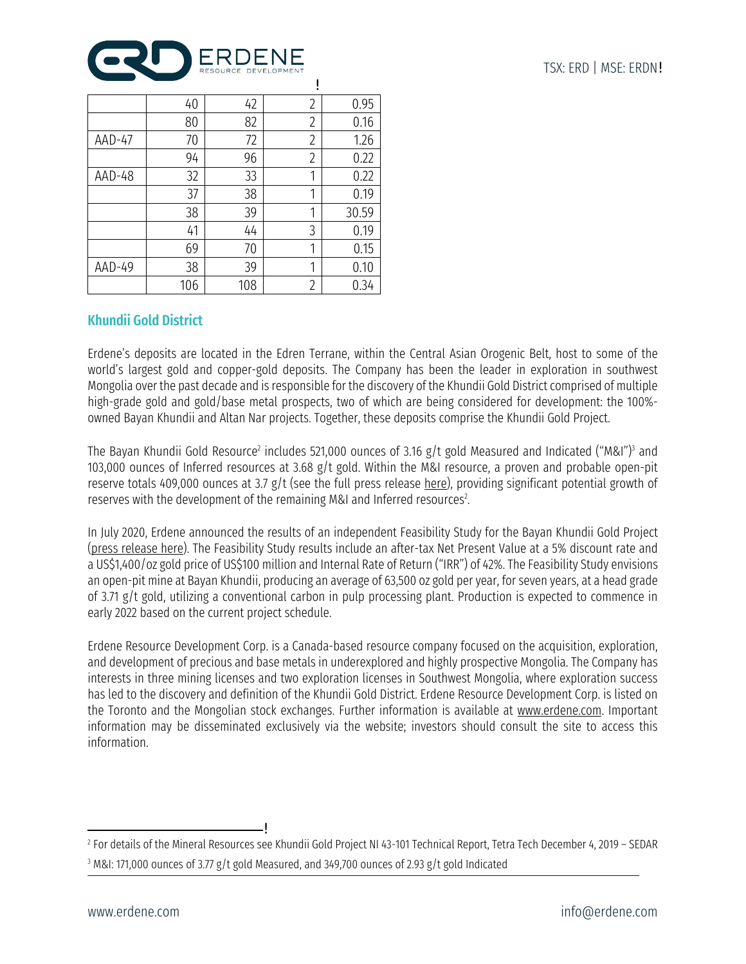

|          | 40  | 42  | 2 | 0.95  |
|----------|-----|-----|---|-------|
|          | 80  | 82  | 2 | 0.16  |
| $AAD-47$ | 70  | 72  | 2 | 1.26  |
|          | 94  | 96  | 2 | 0.22  |
| AAD-48   | 32  | 33  | 1 | 0.22  |
|          | 37  | 38  | 1 | 0.19  |
|          | 38  | 39  | 1 | 30.59 |
|          | 41  | 44  | 3 | 0.19  |
|          | 69  | 70  | 1 | 0.15  |
| AAD-49   | 38  | 39  | 1 | 0.10  |
|          | 106 | 108 | 2 | 0.34  |

### Khundii Gold District

Erdene's deposits are located in the Edren Terrane, within the Central Asian Orogenic Belt, host to some of the world's largest gold and copper-gold deposits. The Company has been the leader in exploration in southwest Mongolia over the past decade and is responsible for the discovery of the Khundii Gold District comprised of multiple high-grade gold and gold/base metal prospects, two of which are being considered for development: the 100% owned Bayan Khundii and Altan Nar projects. Together, these deposits comprise the Khundii Gold Project.

The Bayan Khundii Gold Resource<sup>2</sup> includes 521,000 ounces of 3.16 g/t gold Measured and Indicated ("M&I")<sup>3</sup> and 103,000 ounces of Inferred resources at 3.68 g/t gold. Within the M&I resource, a proven and probable open-pit reserve totals 409,000 ounces at 3.7 g/t (see the full press release here), providing significant potential growth of reserves with the development of the remaining M&I and Inferred resources<sup>2</sup>. .

In July 2020, Erdene announced the results of an independent Feasibility Study for the Bayan Khundii Gold Project (press release here). The Feasibility Study results include an after-tax Net Present Value at a 5% discount rate and a US\$1,400/oz gold price of US\$100 million and Internal Rate of Return ("IRR") of 42%. The Feasibility Study envisions an open-pit mine at Bayan Khundii, producing an average of 63,500 oz gold per year, for seven years, at a head grade of 3.71 g/t gold, utilizing a conventional carbon in pulp processing plant. Production is expected to commence in early 2022 based on the current project schedule.

Erdene Resource Development Corp. is a Canada-based resource company focused on the acquisition, exploration, and development of precious and base metals in underexplored and highly prospective Mongolia. The Company has interests in three mining licenses and two exploration licenses in Southwest Mongolia, where exploration success has led to the discovery and definition of the Khundii Gold District. Erdene Resource Development Corp. is listed on the Toronto and the Mongolian stock exchanges. Further information is available at www.erdene.com. Important information may be disseminated exclusively via the website; investors should consult the site to access this information.

ļ

<sup>&</sup>lt;sup>2</sup> For details of the Mineral Resources see Khundii Gold Project NI 43-101 Technical Report, Tetra Tech December 4, 2019 – SEDAR <sup>3</sup> M&I: 171,000 ounces of 3.77 g/t gold Measured, and 349,700 ounces of 2.93 g/t gold Indicated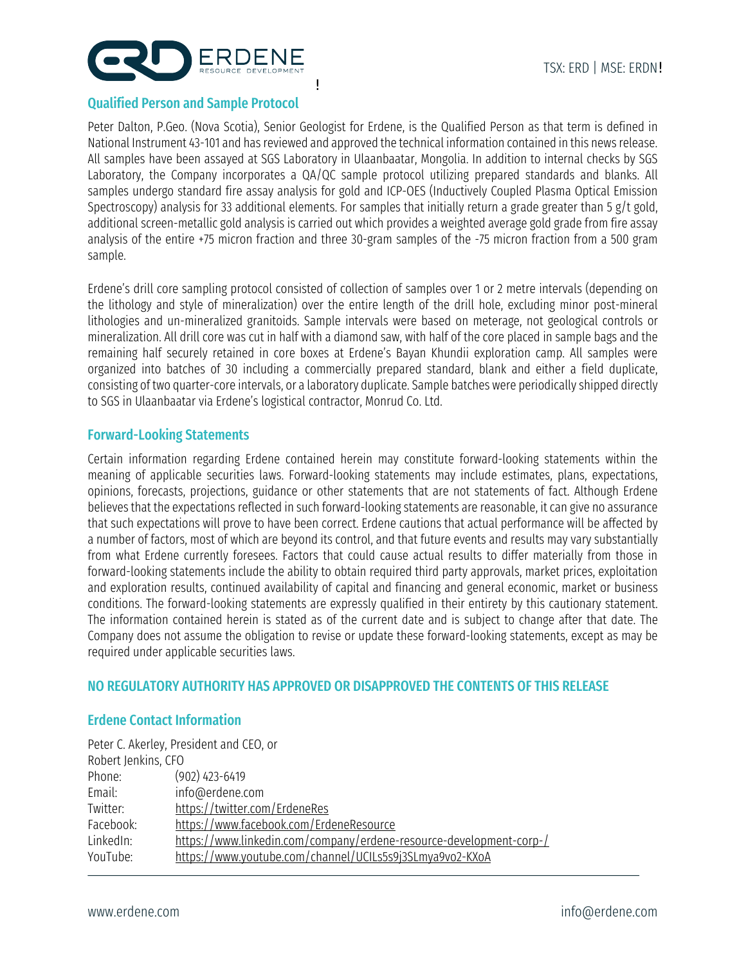

### Qualified Person and Sample Protocol

Peter Dalton, P.Geo. (Nova Scotia), Senior Geologist for Erdene, is the Qualified Person as that term is defined in National Instrument 43-101 and has reviewed and approved the technical information contained in this news release. All samples have been assayed at SGS Laboratory in Ulaanbaatar, Mongolia. In addition to internal checks by SGS Laboratory, the Company incorporates a QA/QC sample protocol utilizing prepared standards and blanks. All samples undergo standard fire assay analysis for gold and ICP-OES (Inductively Coupled Plasma Optical Emission Spectroscopy) analysis for 33 additional elements. For samples that initially return a grade greater than 5 g/t gold, additional screen-metallic gold analysis is carried out which provides a weighted average gold grade from fire assay analysis of the entire +75 micron fraction and three 30-gram samples of the -75 micron fraction from a 500 gram sample.

Erdene's drill core sampling protocol consisted of collection of samples over 1 or 2 metre intervals (depending on the lithology and style of mineralization) over the entire length of the drill hole, excluding minor post-mineral lithologies and un-mineralized granitoids. Sample intervals were based on meterage, not geological controls or mineralization. All drill core was cut in half with a diamond saw, with half of the core placed in sample bags and the remaining half securely retained in core boxes at Erdene's Bayan Khundii exploration camp. All samples were organized into batches of 30 including a commercially prepared standard, blank and either a field duplicate, consisting of two quarter-core intervals, or a laboratory duplicate. Sample batches were periodically shipped directly to SGS in Ulaanbaatar via Erdene's logistical contractor, Monrud Co. Ltd.

#### Forward-Looking Statements

Certain information regarding Erdene contained herein may constitute forward-looking statements within the meaning of applicable securities laws. Forward-looking statements may include estimates, plans, expectations, opinions, forecasts, projections, guidance or other statements that are not statements of fact. Although Erdene believes that the expectations reflected in such forward-looking statements are reasonable, it can give no assurance that such expectations will prove to have been correct. Erdene cautions that actual performance will be affected by a number of factors, most of which are beyond its control, and that future events and results may vary substantially from what Erdene currently foresees. Factors that could cause actual results to differ materially from those in forward-looking statements include the ability to obtain required third party approvals, market prices, exploitation and exploration results, continued availability of capital and financing and general economic, market or business conditions. The forward-looking statements are expressly qualified in their entirety by this cautionary statement. The information contained herein is stated as of the current date and is subject to change after that date. The Company does not assume the obligation to revise or update these forward-looking statements, except as may be required under applicable securities laws.

#### NO REGULATORY AUTHORITY HAS APPROVED OR DISAPPROVED THE CONTENTS OF THIS RELEASE

#### Erdene Contact Information

|                     | Peter C. Akerley, President and CEO, or                             |
|---------------------|---------------------------------------------------------------------|
| Robert Jenkins, CFO |                                                                     |
| Phone:              | $(902)$ 423-6419                                                    |
| Email:              | info@erdene.com                                                     |
| Twitter:            | https://twitter.com/ErdeneRes                                       |
| Facebook:           | https://www.facebook.com/ErdeneResource                             |
| LinkedIn:           | https://www.linkedin.com/company/erdene-resource-development-corp-/ |
| YouTube:            | https://www.youtube.com/channel/UCILs5s9j3SLmya9vo2-KXoA            |